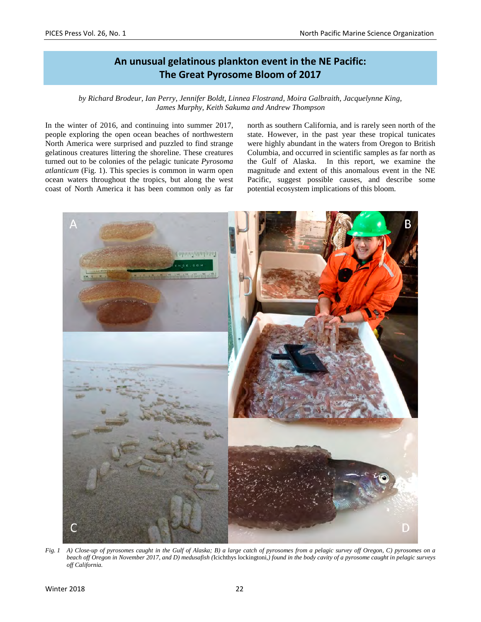# **An unusual gelatinous plankton event in the NE Pacific: The Great Pyrosome Bloom of 2017**

*by Richard Brodeur, Ian Perry, Jennifer Boldt, Linnea Flostrand, Moira Galbraith, Jacquelynne King, James Murphy, Keith Sakuma and Andrew Thompson*

In the winter of 2016, and continuing into summer 2017, people exploring the open ocean beaches of northwestern North America were surprised and puzzled to find strange gelatinous creatures littering the shoreline. These creatures turned out to be colonies of the pelagic tunicate *Pyrosoma atlanticum* (Fig. 1). This species is common in warm open ocean waters throughout the tropics, but along the west coast of North America it has been common only as far north as southern California, and is rarely seen north of the state. However, in the past year these tropical tunicates were highly abundant in the waters from Oregon to British Columbia, and occurred in scientific samples as far north as the Gulf of Alaska. In this report, we examine the magnitude and extent of this anomalous event in the NE Pacific, suggest possible causes, and describe some potential ecosystem implications of this bloom.



*Fig. 1 A) Close-up of pyrosomes caught in the Gulf of Alaska; B) a large catch of pyrosomes from a pelagic survey off Oregon, C) pyrosomes on a beach off Oregon in November 2017, and D) medusafish (*Icichthys lockingtoni*,) found in the body cavity of a pyrosome caught in pelagic surveys off California.*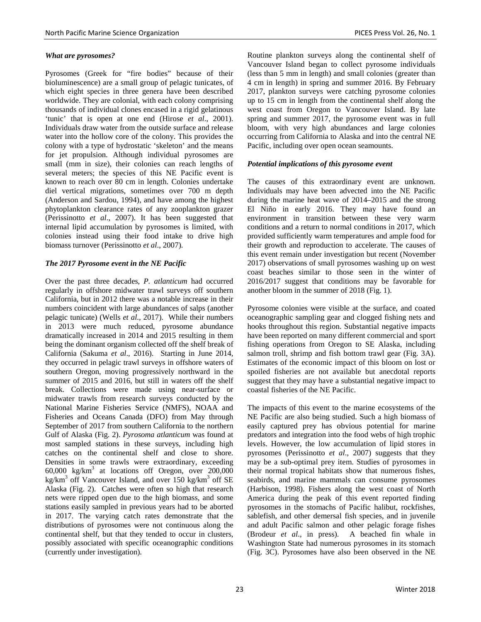## *What are pyrosomes?*

Pyrosomes (Greek for "fire bodies" because of their bioluminescence) are a small group of pelagic tunicates, of which eight species in three genera have been described worldwide. They are colonial, with each colony comprising thousands of individual clones encased in a rigid gelatinous 'tunic' that is open at one end (Hirose *et al*., 2001). Individuals draw water from the outside surface and release water into the hollow core of the colony. This provides the colony with a type of hydrostatic 'skeleton' and the means for jet propulsion. Although individual pyrosomes are small (mm in size), their colonies can reach lengths of several meters; the species of this NE Pacific event is known to reach over 80 cm in length. Colonies undertake diel vertical migrations, sometimes over 700 m depth (Anderson and Sardou, 1994), and have among the highest phytoplankton clearance rates of any zooplankton grazer (Perissinotto *et al*., 2007). It has been suggested that internal lipid accumulation by pyrosomes is limited, with colonies instead using their food intake to drive high biomass turnover (Perissinotto *et al*., 2007).

# *The 2017 Pyrosome event in the NE Pacific*

Over the past three decades, *P. atlanticum* had occurred regularly in offshore midwater trawl surveys off southern California, but in 2012 there was a notable increase in their numbers coincident with large abundances of salps (another pelagic tunicate) (Wells *et al*., 2017). While their numbers in 2013 were much reduced, pyrosome abundance dramatically increased in 2014 and 2015 resulting in them being the dominant organism collected off the shelf break of California (Sakuma *et al*., 2016). Starting in June 2014, they occurred in pelagic trawl surveys in offshore waters of southern Oregon, moving progressively northward in the summer of 2015 and 2016, but still in waters off the shelf break. Collections were made using near-surface or midwater trawls from research surveys conducted by the National Marine Fisheries Service (NMFS), NOAA and Fisheries and Oceans Canada (DFO) from May through September of 2017 from southern California to the northern Gulf of Alaska (Fig. 2). *Pyrosoma atlanticum* was found at most sampled stations in these surveys, including high catches on the continental shelf and close to shore. Densities in some trawls were extraordinary, exceeding  $60,000 \text{ kg/km}^3$  at locations off Oregon, over 200,000 kg/km<sup>3</sup> off Vancouver Island, and over 150 kg/km<sup>3</sup> off SE Alaska (Fig. 2). Catches were often so high that research nets were ripped open due to the high biomass, and some stations easily sampled in previous years had to be aborted in 2017. The varying catch rates demonstrate that the distributions of pyrosomes were not continuous along the continental shelf, but that they tended to occur in clusters, possibly associated with specific oceanographic conditions (currently under investigation).

Routine plankton surveys along the continental shelf of Vancouver Island began to collect pyrosome individuals (less than 5 mm in length) and small colonies (greater than 4 cm in length) in spring and summer 2016. By February 2017, plankton surveys were catching pyrosome colonies up to 15 cm in length from the continental shelf along the west coast from Oregon to Vancouver Island. By late spring and summer 2017, the pyrosome event was in full bloom, with very high abundances and large colonies occurring from California to Alaska and into the central NE Pacific, including over open ocean seamounts.

## *Potential implications of this pyrosome event*

The causes of this extraordinary event are unknown. Individuals may have been advected into the NE Pacific during the marine heat wave of 2014–2015 and the strong El Niño in early 2016. They may have found an environment in transition between these very warm conditions and a return to normal conditions in 2017, which provided sufficiently warm temperatures and ample food for their growth and reproduction to accelerate. The causes of this event remain under investigation but recent (November 2017) observations of small pyrosomes washing up on west coast beaches similar to those seen in the winter of 2016/2017 suggest that conditions may be favorable for another bloom in the summer of 2018 (Fig. 1).

Pyrosome colonies were visible at the surface, and coated oceanographic sampling gear and clogged fishing nets and hooks throughout this region. Substantial negative impacts have been reported on many different commercial and sport fishing operations from Oregon to SE Alaska, including salmon troll, shrimp and fish bottom trawl gear (Fig. 3A). Estimates of the economic impact of this bloom on lost or spoiled fisheries are not available but anecdotal reports suggest that they may have a substantial negative impact to coastal fisheries of the NE Pacific.

The impacts of this event to the marine ecosystems of the NE Pacific are also being studied. Such a high biomass of easily captured prey has obvious potential for marine predators and integration into the food webs of high trophic levels. However, the low accumulation of lipid stores in pyrosomes (Perissinotto *et al*., 2007) suggests that they may be a sub-optimal prey item. Studies of pyrosomes in their normal tropical habitats show that numerous fishes, seabirds, and marine mammals can consume pyrosomes (Harbison, 1998). Fishers along the west coast of North America during the peak of this event reported finding pyrosomes in the stomachs of Pacific halibut, rockfishes, sablefish, and other demersal fish species, and in juvenile and adult Pacific salmon and other pelagic forage fishes (Brodeur *et al*., in press). A beached fin whale in Washington State had numerous pyrosomes in its stomach (Fig. 3C). Pyrosomes have also been observed in the NE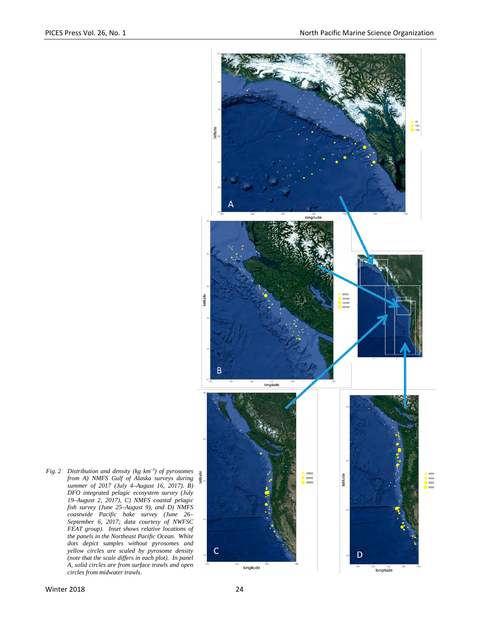

*Fig. 2 Distribution and density (kg km–3 ) of pyrosomes from A) NMFS Gulf of Alaska surveys during summer of 2017 (July 4–August 16, 2017). B) DFO integrated pelagic ecosystem survey (July 19–August 2, 2017), C) NMFS coastal pelagic fish survey (June 25–August 9), and D) NMFS coastwide Pacific hake survey (June 26– September 6, 2017; data courtesy of NWFSC FEAT group). Inset shows relative locations of the panels in the Northeast Pacific Ocean. White dots depict samples without pyrosomes and yellow circles are scaled by pyrosome density (note that the scale differs in each plot). In panel A, solid circles are from surface trawls and open circles from midwater trawls.*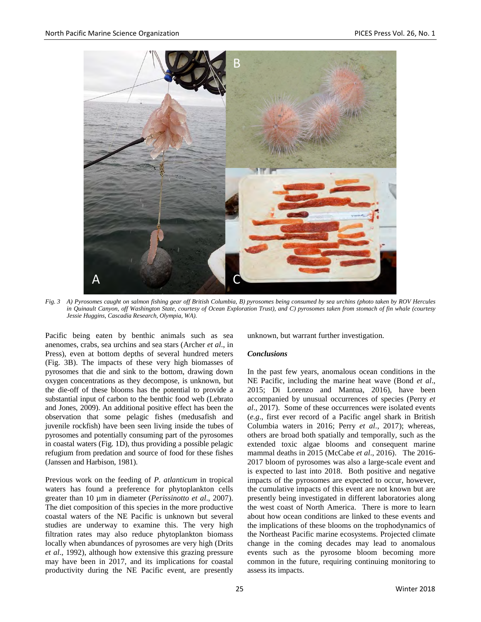

*Fig. 3 A) Pyrosomes caught on salmon fishing gear off British Columbia, B) pyrosomes being consumed by sea urchins (photo taken by ROV Hercules in Quinault Canyon, off Washington State, courtesy of Ocean Exploration Trust), and C) pyrosomes taken from stomach of fin whale (courtesy Jessie Huggins, Cascadia Research, Olympia, WA).*

 Pacific being eaten by benthic animals such as sea anenomes, crabs, sea urchins and sea stars (Archer *et al*., in Press), even at bottom depths of several hundred meters (Fig. 3B). The impacts of these very high biomasses of pyrosomes that die and sink to the bottom, drawing down oxygen concentrations as they decompose, is unknown, but the die-off of these blooms has the potential to provide a substantial input of carbon to the benthic food web (Lebrato and Jones, 2009). An additional positive effect has been the observation that some pelagic fishes (medusafish and juvenile rockfish) have been seen living inside the tubes of pyrosomes and potentially consuming part of the pyrosomes in coastal waters (Fig. 1D), thus providing a possible pelagic refugium from predation and source of food for these fishes (Janssen and Harbison, 1981).

Previous work on the feeding of *P. atlanticum* in tropical waters has found a preference for phytoplankton cells greater than 10 µm in diameter (*Perissinotto et al*., 2007). The diet composition of this species in the more productive coastal waters of the NE Pacific is unknown but several studies are underway to examine this. The very high filtration rates may also reduce phytoplankton biomass locally when abundances of pyrosomes are very high (Drits *et al*., 1992), although how extensive this grazing pressure may have been in 2017, and its implications for coastal productivity during the NE Pacific event, are presently

unknown, but warrant further investigation.

#### *Conclusions*

In the past few years, anomalous ocean conditions in the NE Pacific, including the marine heat wave (Bond *et al*., 2015; Di Lorenzo and Mantua, 2016), have been accompanied by unusual occurrences of species (Perry *et al*., 2017). Some of these occurrences were isolated events (*e.g*., first ever record of a Pacific angel shark in British Columbia waters in 2016; Perry *et al*., 2017); whereas, others are broad both spatially and temporally, such as the extended toxic algae blooms and consequent marine mammal deaths in 2015 (McCabe *et al*., 2016). The 2016- 2017 bloom of pyrosomes was also a large-scale event and is expected to last into 2018. Both positive and negative impacts of the pyrosomes are expected to occur, however, the cumulative impacts of this event are not known but are presently being investigated in different laboratories along the west coast of North America. There is more to learn about how ocean conditions are linked to these events and the implications of these blooms on the trophodynamics of the Northeast Pacific marine ecosystems. Projected climate change in the coming decades may lead to anomalous events such as the pyrosome bloom becoming more common in the future, requiring continuing monitoring to assess its impacts.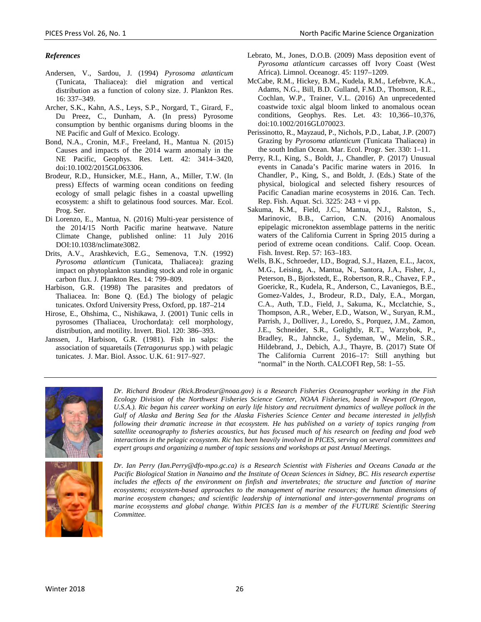#### *References*

- Andersen, V., Sardou, J. (1994) *Pyrosoma atlanticum* (Tunicata, Thaliacea): diel migration and vertical distribution as a function of colony size. J. Plankton Res. 16: 337–349.
- Archer, S.K., Kahn, A.S., Leys, S.P., Norgard, T., Girard, F., Du Preez, C., Dunham, A. (In press) Pyrosome consumption by benthic organisms during blooms in the NE Pacific and Gulf of Mexico. Ecology.
- Bond, N.A., Cronin, M.F., Freeland, H., Mantua N. (2015) Causes and impacts of the 2014 warm anomaly in the NE Pacific, Geophys. Res. Lett. 42: 3414–3420, doi:10.1002/2015GL063306.
- Brodeur, R.D., Hunsicker, M.E., Hann, A., Miller, T.W. (In press) Effects of warming ocean conditions on feeding ecology of small pelagic fishes in a coastal upwelling ecosystem: a shift to gelatinous food sources. Mar. Ecol. Prog. Ser.
- Di Lorenzo, E., Mantua, N. (2016) Multi-year persistence of the 2014/15 North Pacific marine heatwave. Nature Climate Change, published online: 11 July 2016 DOI:10.1038/nclimate3082.
- Drits, A.V., Arashkevich, E.G., Semenova, T.N. (1992) *Pyrosoma atlanticum* (Tunicata, Thaliacea): grazing impact on phytoplankton standing stock and role in organic carbon flux. J. Plankton Res. 14: 799–809.
- Harbison, G.R. (1998) The parasites and predators of Thaliacea. In: Bone Q. (Ed.) The biology of pelagic tunicates. Oxford University Press, Oxford, pp. 187–214
- Hirose, E., Ohshima, C., Nishikawa, J. (2001) Tunic cells in pyrosomes (Thaliacea, Urochordata): cell morphology, distribution, and motility. Invert. Biol. 120: 386–393.
- Janssen, J., Harbison, G.R. (1981). Fish in salps: the association of squaretails (*Tetragonurus* spp.) with pelagic tunicates. J. Mar. Biol. Assoc. U.K. 61: 917–927.
- Lebrato, M., Jones, D.O.B. (2009) Mass deposition event of *Pyrosoma atlanticum* carcasses off Ivory Coast (West Africa). Limnol. Oceanogr. 45: 1197–1209.
- McCabe, R.M., Hickey, B.M., Kudela, R.M., Lefebvre, K.A., Adams, N.G., Bill, B.D. Gulland, F.M.D., Thomson, R.E., Cochlan, W.P., Trainer, V.L. (2016) An unprecedented coastwide toxic algal bloom linked to anomalous ocean conditions, Geophys. Res. Let. 43: 10,366–10,376, doi:10.1002/2016GL070023.
- Perissinotto, R., Mayzaud, P., Nichols, P.D., Labat, J.P. (2007) Grazing by *Pyrosoma atlanticum* (Tunicata Thaliacea) in the south Indian Ocean. Mar. Ecol. Progr. Ser. 330: 1–11.
- Perry, R.I., King, S., Boldt, J., Chandler, P. (2017) Unusual events in Canada's Pacific marine waters in 2016. In Chandler, P., King, S., and Boldt, J. (Eds.) State of the physical, biological and selected fishery resources of Pacific Canadian marine ecosystems in 2016. Can. Tech. Rep. Fish. Aquat. Sci. 3225: 243 + vi pp.
- Sakuma, K.M., Field, J.C., Mantua, N.J., Ralston, S., Marinovic, B.B., Carrion, C.N. (2016) Anomalous epipelagic micronekton assemblage patterns in the neritic waters of the California Current in Spring 2015 during a period of extreme ocean conditions. Calif. Coop. Ocean. Fish. Invest. Rep. 57: 163–183.
- Wells, B.K., Schroeder, I.D., Bograd, S.J., Hazen, E.L., Jacox, M.G., Leising, A., Mantua, N., Santora, J.A., Fisher, J., Peterson, B., Bjorkstedt, E., Robertson, R.R., Chavez, F.P., Goericke, R., Kudela, R., Anderson, C., Lavaniegos, B.E., Gomez-Valdes, J., Brodeur, R.D., Daly, E.A., Morgan, C.A., Auth, T.D., Field, J., Sakuma, K., Mcclatchie, S., Thompson, A.R., Weber, E.D., Watson, W., Suryan, R.M., Parrish, J., Dolliver, J., Loredo, S., Porquez, J.M., Zamon, J.E., Schneider, S.R., Golightly, R.T., Warzybok, P., Bradley, R., Jahncke, J., Sydeman, W., Melin, S.R., Hildebrand, J., Debich, A.J., Thayre, B. (2017) State Of The California Current 2016–17: Still anything but "normal" in the North. CALCOFI Rep, 58: 1–55.



*Dr. Richard Brodeur (Rick.Brodeur@noaa.gov) is a Research Fisheries Oceanographer working in the Fish Ecology Division of the Northwest Fisheries Science Center, NOAA Fisheries, based in Newport (Oregon,*  U.S.A.). Ric began his career working on early life history and recruitment dynamics of walleye pollock in the *Gulf of Alaska and Bering Sea for the Alaska Fisheries Science Center and became interested in jellyfish following their dramatic increase in that ecosystem. He has published on a variety of topics ranging from satellite oceanography to fisheries acoustics, but has focused much of his research on feeding and food web interactions in the pelagic ecosystem. Ric has been heavily involved in PICES, serving on several committees and expert groups and organizing a number of topic sessions and workshops at past Annual Meetings.*



*Dr. Ian Perry (Ian.Perry@dfo-mpo.gc.ca) is a Research Scientist with Fisheries and Oceans Canada at the Pacific Biological Station in Nanaimo and the Institute of Ocean Sciences in Sidney, BC. His research expertise includes the effects of the environment on finfish and invertebrates; the structure and function of marine ecosystems; ecosystem-based approaches to the management of marine resources; the human dimensions of marine ecosystem changes; and scientific leadership of international and inter-governmental programs on marine ecosystems and global change. Within PICES Ian is a member of the FUTURE Scientific Steering Committee.*